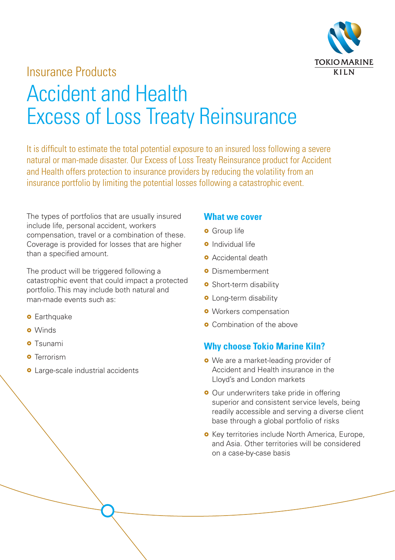

## Insurance Products

# Accident and Health Excess of Loss Treaty Reinsurance

It is difficult to estimate the total potential exposure to an insured loss following a severe natural or man-made disaster. Our Excess of Loss Treaty Reinsurance product for Accident and Health offers protection to insurance providers by reducing the volatility from an insurance portfolio by limiting the potential losses following a catastrophic event.

The types of portfolios that are usually insured include life, personal accident, workers compensation, travel or a combination of these. Coverage is provided for losses that are higher than a specified amount.

The product will be triggered following a catastrophic event that could impact a protected portfolio. This may include both natural and man-made events such as:

- **o** Earthquake
- **o** Winds
- **o** Tsunami
- **o** Terrorism
- **•** Large-scale industrial accidents

#### **What we cover**

- **o** Group life
- **o** Individual life
- **o** Accidental death
- **o** Dismemberment
- **o** Short-term disability
- **o** Long-term disability
- **o** Workers compensation
- **o** Combination of the above

#### **Why choose Tokio Marine Kiln?**

- We are a market-leading provider of Accident and Health insurance in the Lloyd's and London markets
- **•** Our underwriters take pride in offering superior and consistent service levels, being readily accessible and serving a diverse client base through a global portfolio of risks
- **•** Key territories include North America, Europe, and Asia. Other territories will be considered on a case-by-case basis